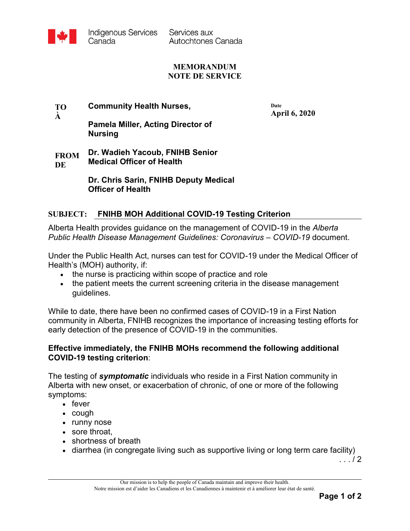

Services aux Autochtones Canada

### **MEMORANDUM NOTE DE SERVICE**

### **TO À Community Health Nurses,**

**Date April 6, 2020**

# **Pamela Miller, Acting Director of Nursing**

#### **FROM DE Dr. Wadieh Yacoub, FNIHB Senior Medical Officer of Health**

**Dr. Chris Sarin, FNIHB Deputy Medical Officer of Health**

## **SUBJECT: FNIHB MOH Additional COVID-19 Testing Criterion**

Alberta Health provides guidance on the management of COVID-19 in the *Alberta Public Health Disease Management Guidelines: Coronavirus – COVID-19* document.

Under the Public Health Act, nurses can test for COVID-19 under the Medical Officer of Health's (MOH) authority, if:

- the nurse is practicing within scope of practice and role
- the patient meets the current screening criteria in the disease management guidelines.

While to date, there have been no confirmed cases of COVID-19 in a First Nation community in Alberta, FNIHB recognizes the importance of increasing testing efforts for early detection of the presence of COVID-19 in the communities.

### **Effective immediately, the FNIHB MOHs recommend the following additional COVID-19 testing criterion**:

The testing of *symptomatic* individuals who reside in a First Nation community in Alberta with new onset, or exacerbation of chronic, of one or more of the following symptoms:

- fever
- $\bullet$  cough
- runny nose
- sore throat.
- shortness of breath
- diarrhea (in congregate living such as supportive living or long term care facility)

. . . / 2